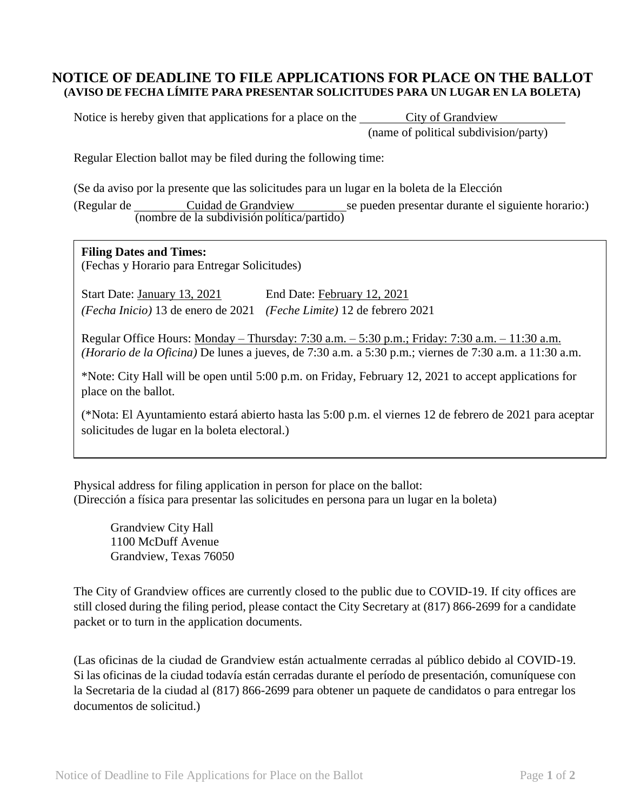## **NOTICE OF DEADLINE TO FILE APPLICATIONS FOR PLACE ON THE BALLOT (AVISO DE FECHA LÍMITE PARA PRESENTAR SOLICITUDES PARA UN LUGAR EN LA BOLETA)**

Notice is hereby given that applications for a place on the City of Grandview (name of political subdivision/party)

Regular Election ballot may be filed during the following time:

(Se da aviso por la presente que las solicitudes para un lugar en la boleta de la Elección (Regular de Cuidad de Grandview se pueden presentar durante el siguiente horario:) (nombre de la subdivisión política/partido)

## **Filing Dates and Times:**

(Fechas y Horario para Entregar Solicitudes)

Start Date: January 13, 2021 End Date: February 12, 2021 *(Fecha Inicio)* 13 de enero de 2021 *(Feche Limite)* 12 de febrero 2021

Regular Office Hours: Monday – Thursday: 7:30 a.m. – 5:30 p.m.; Friday: 7:30 a.m. – 11:30 a.m. *(Horario de la Oficina)* De lunes a jueves, de 7:30 a.m. a 5:30 p.m.; viernes de 7:30 a.m. a 11:30 a.m.

\*Note: City Hall will be open until 5:00 p.m. on Friday, February 12, 2021 to accept applications for place on the ballot.

(\*Nota: El Ayuntamiento estará abierto hasta las 5:00 p.m. el viernes 12 de febrero de 2021 para aceptar solicitudes de lugar en la boleta electoral.)

Physical address for filing application in person for place on the ballot: (Dirección a física para presentar las solicitudes en persona para un lugar en la boleta)

Grandview City Hall 1100 McDuff Avenue Grandview, Texas 76050

The City of Grandview offices are currently closed to the public due to COVID-19. If city offices are still closed during the filing period, please contact the City Secretary at (817) 866-2699 for a candidate packet or to turn in the application documents.

(Las oficinas de la ciudad de Grandview están actualmente cerradas al público debido al COVID-19. Si las oficinas de la ciudad todavía están cerradas durante el período de presentación, comuníquese con la Secretaria de la ciudad al (817) 866-2699 para obtener un paquete de candidatos o para entregar los documentos de solicitud.)